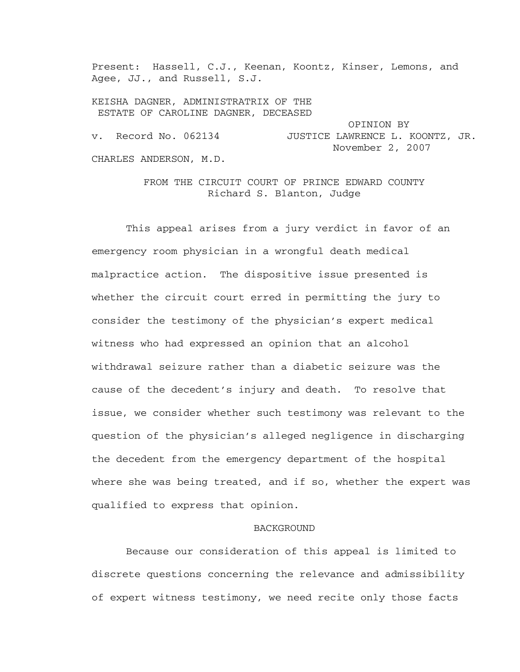Present: Hassell, C.J., Keenan, Koontz, Kinser, Lemons, and Agee, JJ., and Russell, S.J.

KEISHA DAGNER, ADMINISTRATRIX OF THE ESTATE OF CAROLINE DAGNER, DECEASED

 OPINION BY v. Record No. 062134 JUSTICE LAWRENCE L. KOONTZ, JR. November 2, 2007 CHARLES ANDERSON, M.D.

> FROM THE CIRCUIT COURT OF PRINCE EDWARD COUNTY Richard S. Blanton, Judge

This appeal arises from a jury verdict in favor of an emergency room physician in a wrongful death medical malpractice action. The dispositive issue presented is whether the circuit court erred in permitting the jury to consider the testimony of the physician's expert medical witness who had expressed an opinion that an alcohol withdrawal seizure rather than a diabetic seizure was the cause of the decedent's injury and death. To resolve that issue, we consider whether such testimony was relevant to the question of the physician's alleged negligence in discharging the decedent from the emergency department of the hospital where she was being treated, and if so, whether the expert was qualified to express that opinion.

## BACKGROUND

Because our consideration of this appeal is limited to discrete questions concerning the relevance and admissibility of expert witness testimony, we need recite only those facts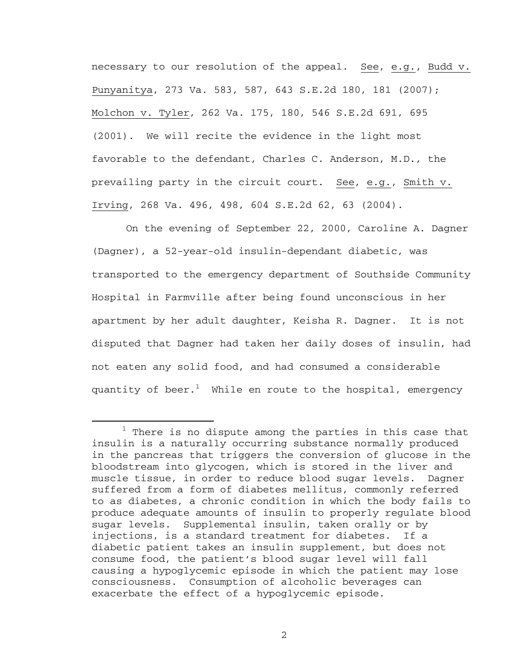necessary to our resolution of the appeal. See, e.g., Budd v. Punyanitya, 273 Va. 583, 587, 643 S.E.2d 180, 181 (2007); Molchon v. Tyler, 262 Va. 175, 180, 546 S.E.2d 691, 695 (2001). We will recite the evidence in the light most favorable to the defendant, Charles C. Anderson, M.D., the prevailing party in the circuit court. See, e.g., Smith v. Irving, 268 Va. 496, 498, 604 S.E.2d 62, 63 (2004).

On the evening of September 22, 2000, Caroline A. Dagner (Dagner), a 52-year-old insulin-dependant diabetic, was transported to the emergency department of Southside Community Hospital in Farmville after being found unconscious in her apartment by her adult daughter, Keisha R. Dagner. It is not disputed that Dagner had taken her daily doses of insulin, had not eaten any solid food, and had consumed a considerable quantity of beer. $^1$  While en route to the hospital, emergency

 $\begin{array}{c}\n\hline\n\hline\n\hline\n\hline\n\hline\n\end{array}$  $1$  There is no dispute among the parties in this case that insulin is a naturally occurring substance normally produced in the pancreas that triggers the conversion of glucose in the bloodstream into glycogen, which is stored in the liver and muscle tissue, in order to reduce blood sugar levels. Dagner suffered from a form of diabetes mellitus, commonly referred to as diabetes, a chronic condition in which the body fails to produce adequate amounts of insulin to properly regulate blood sugar levels. Supplemental insulin, taken orally or by injections, is a standard treatment for diabetes. If a diabetic patient takes an insulin supplement, but does not consume food, the patient's blood sugar level will fall causing a hypoglycemic episode in which the patient may lose consciousness. Consumption of alcoholic beverages can exacerbate the effect of a hypoglycemic episode.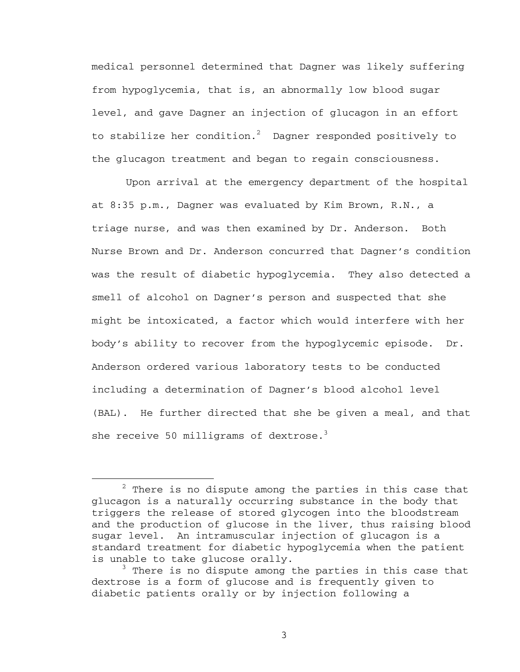medical personnel determined that Dagner was likely suffering from hypoglycemia, that is, an abnormally low blood sugar level, and gave Dagner an injection of glucagon in an effort to stabilize her condition. $^2$  Dagner responded positively to the glucagon treatment and began to regain consciousness.

Upon arrival at the emergency department of the hospital at 8:35 p.m., Dagner was evaluated by Kim Brown, R.N., a triage nurse, and was then examined by Dr. Anderson. Both Nurse Brown and Dr. Anderson concurred that Dagner's condition was the result of diabetic hypoglycemia. They also detected a smell of alcohol on Dagner's person and suspected that she might be intoxicated, a factor which would interfere with her body's ability to recover from the hypoglycemic episode. Dr. Anderson ordered various laboratory tests to be conducted including a determination of Dagner's blood alcohol level (BAL). He further directed that she be given a meal, and that she receive 50 milligrams of dextrose. $3$ 

 $\overline{\phantom{a}}$  $2$  There is no dispute among the parties in this case that glucagon is a naturally occurring substance in the body that triggers the release of stored glycogen into the bloodstream and the production of glucose in the liver, thus raising blood sugar level. An intramuscular injection of glucagon is a standard treatment for diabetic hypoglycemia when the patient is unable to take glucose orally.

<sup>&</sup>lt;sup>3</sup> There is no dispute among the parties in this case that dextrose is a form of glucose and is frequently given to diabetic patients orally or by injection following a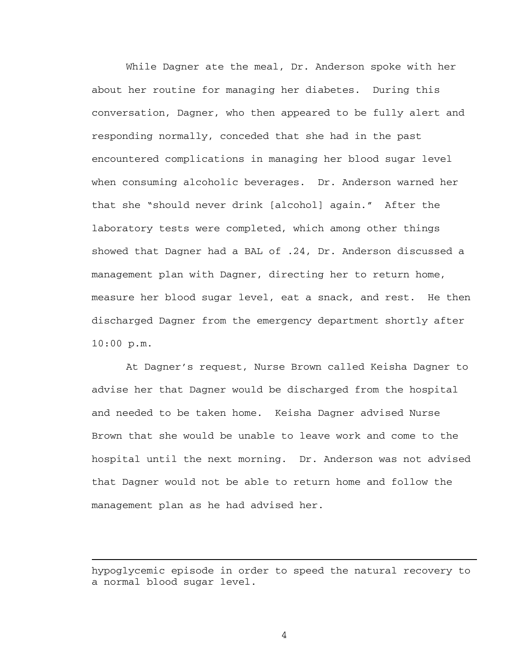While Dagner ate the meal, Dr. Anderson spoke with her about her routine for managing her diabetes. During this conversation, Dagner, who then appeared to be fully alert and responding normally, conceded that she had in the past encountered complications in managing her blood sugar level when consuming alcoholic beverages. Dr. Anderson warned her that she "should never drink [alcohol] again." After the laboratory tests were completed, which among other things showed that Dagner had a BAL of .24, Dr. Anderson discussed a management plan with Dagner, directing her to return home, measure her blood sugar level, eat a snack, and rest. He then discharged Dagner from the emergency department shortly after 10:00 p.m.

At Dagner's request, Nurse Brown called Keisha Dagner to advise her that Dagner would be discharged from the hospital and needed to be taken home. Keisha Dagner advised Nurse Brown that she would be unable to leave work and come to the hospital until the next morning. Dr. Anderson was not advised that Dagner would not be able to return home and follow the management plan as he had advised her.

hypoglycemic episode in order to speed the natural recovery to a normal blood sugar level.

i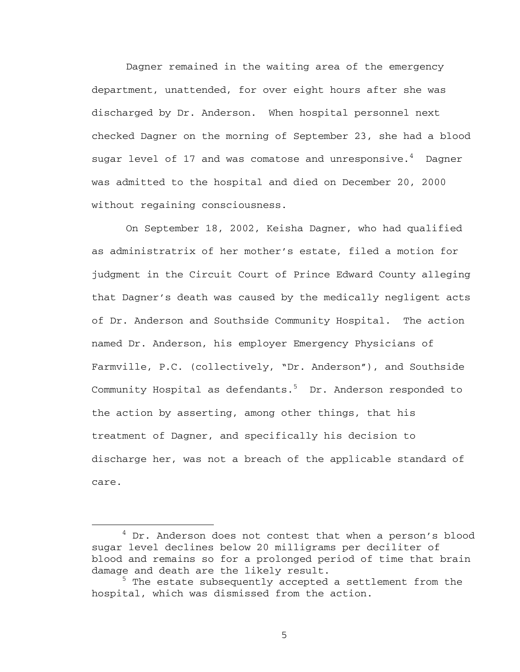Dagner remained in the waiting area of the emergency department, unattended, for over eight hours after she was discharged by Dr. Anderson. When hospital personnel next checked Dagner on the morning of September 23, she had a blood sugar level of 17 and was comatose and unresponsive. $^4$  Dagner was admitted to the hospital and died on December 20, 2000 without regaining consciousness.

On September 18, 2002, Keisha Dagner, who had qualified as administratrix of her mother's estate, filed a motion for judgment in the Circuit Court of Prince Edward County alleging that Dagner's death was caused by the medically negligent acts of Dr. Anderson and Southside Community Hospital. The action named Dr. Anderson, his employer Emergency Physicians of Farmville, P.C. (collectively, "Dr. Anderson"), and Southside Community Hospital as defendants.<sup>5</sup> Dr. Anderson responded to the action by asserting, among other things, that his treatment of Dagner, and specifically his decision to discharge her, was not a breach of the applicable standard of care.

 $\overline{4}$  $4$  Dr. Anderson does not contest that when a person's blood sugar level declines below 20 milligrams per deciliter of blood and remains so for a prolonged period of time that brain damage and death are the likely result.

<sup>&</sup>lt;sup>5</sup> The estate subsequently accepted a settlement from the hospital, which was dismissed from the action.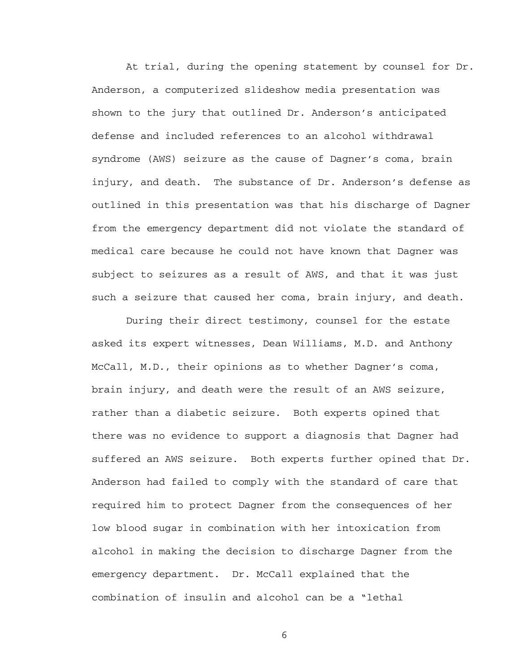At trial, during the opening statement by counsel for Dr. Anderson, a computerized slideshow media presentation was shown to the jury that outlined Dr. Anderson's anticipated defense and included references to an alcohol withdrawal syndrome (AWS) seizure as the cause of Dagner's coma, brain injury, and death. The substance of Dr. Anderson's defense as outlined in this presentation was that his discharge of Dagner from the emergency department did not violate the standard of medical care because he could not have known that Dagner was subject to seizures as a result of AWS, and that it was just such a seizure that caused her coma, brain injury, and death.

During their direct testimony, counsel for the estate asked its expert witnesses, Dean Williams, M.D. and Anthony McCall, M.D., their opinions as to whether Dagner's coma, brain injury, and death were the result of an AWS seizure, rather than a diabetic seizure. Both experts opined that there was no evidence to support a diagnosis that Dagner had suffered an AWS seizure. Both experts further opined that Dr. Anderson had failed to comply with the standard of care that required him to protect Dagner from the consequences of her low blood sugar in combination with her intoxication from alcohol in making the decision to discharge Dagner from the emergency department. Dr. McCall explained that the combination of insulin and alcohol can be a "lethal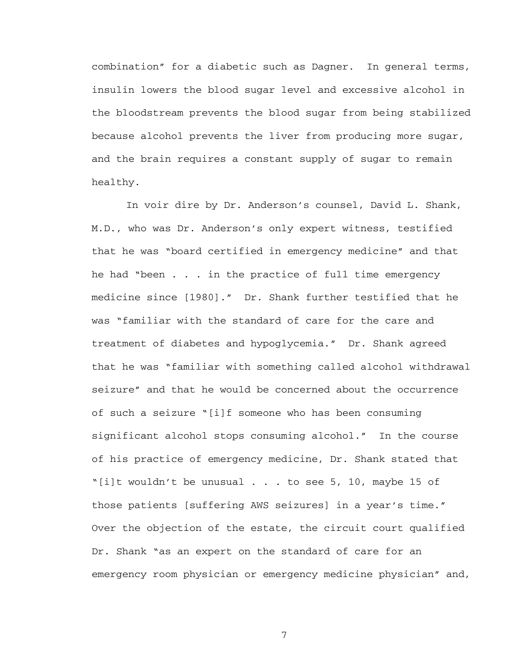combination" for a diabetic such as Dagner. In general terms, insulin lowers the blood sugar level and excessive alcohol in the bloodstream prevents the blood sugar from being stabilized because alcohol prevents the liver from producing more sugar, and the brain requires a constant supply of sugar to remain healthy.

In voir dire by Dr. Anderson's counsel, David L. Shank, M.D., who was Dr. Anderson's only expert witness, testified that he was "board certified in emergency medicine" and that he had "been . . . in the practice of full time emergency medicine since [1980]." Dr. Shank further testified that he was "familiar with the standard of care for the care and treatment of diabetes and hypoglycemia." Dr. Shank agreed that he was "familiar with something called alcohol withdrawal seizure" and that he would be concerned about the occurrence of such a seizure "[i]f someone who has been consuming significant alcohol stops consuming alcohol." In the course of his practice of emergency medicine, Dr. Shank stated that "[i]t wouldn't be unusual . . . to see 5, 10, maybe 15 of those patients [suffering AWS seizures] in a year's time." Over the objection of the estate, the circuit court qualified Dr. Shank "as an expert on the standard of care for an emergency room physician or emergency medicine physician" and,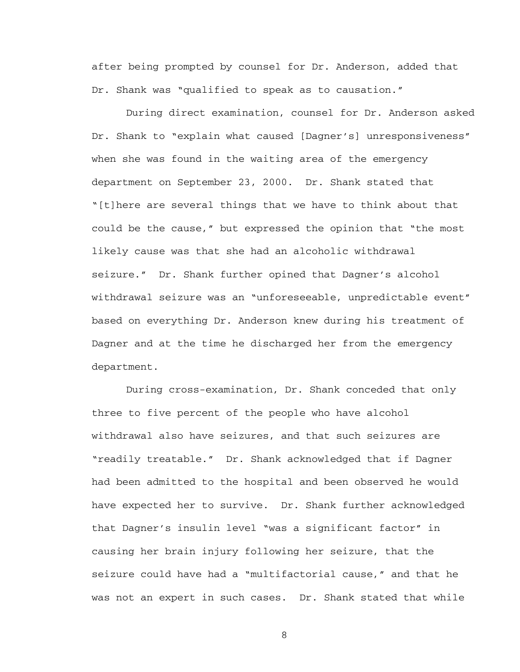after being prompted by counsel for Dr. Anderson, added that Dr. Shank was "qualified to speak as to causation."

During direct examination, counsel for Dr. Anderson asked Dr. Shank to "explain what caused [Dagner's] unresponsiveness" when she was found in the waiting area of the emergency department on September 23, 2000. Dr. Shank stated that "[t]here are several things that we have to think about that could be the cause," but expressed the opinion that "the most likely cause was that she had an alcoholic withdrawal seizure." Dr. Shank further opined that Dagner's alcohol withdrawal seizure was an "unforeseeable, unpredictable event" based on everything Dr. Anderson knew during his treatment of Dagner and at the time he discharged her from the emergency department.

During cross-examination, Dr. Shank conceded that only three to five percent of the people who have alcohol withdrawal also have seizures, and that such seizures are "readily treatable." Dr. Shank acknowledged that if Dagner had been admitted to the hospital and been observed he would have expected her to survive. Dr. Shank further acknowledged that Dagner's insulin level "was a significant factor" in causing her brain injury following her seizure, that the seizure could have had a "multifactorial cause," and that he was not an expert in such cases. Dr. Shank stated that while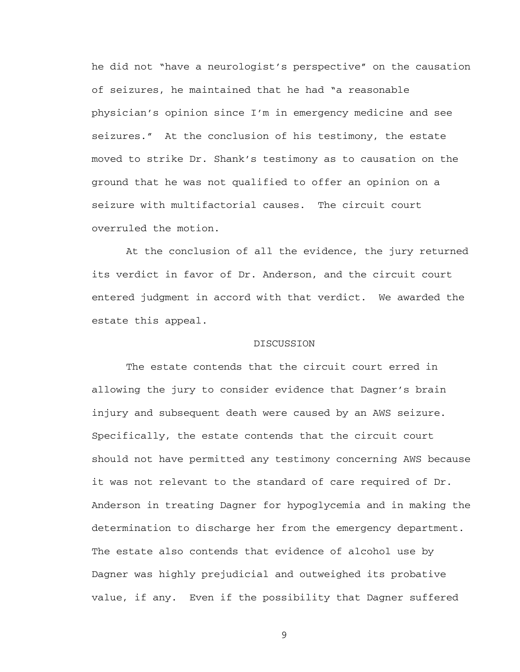he did not "have a neurologist's perspective" on the causation of seizures, he maintained that he had "a reasonable physician's opinion since I'm in emergency medicine and see seizures." At the conclusion of his testimony, the estate moved to strike Dr. Shank's testimony as to causation on the ground that he was not qualified to offer an opinion on a seizure with multifactorial causes. The circuit court overruled the motion.

At the conclusion of all the evidence, the jury returned its verdict in favor of Dr. Anderson, and the circuit court entered judgment in accord with that verdict. We awarded the estate this appeal.

## DISCUSSION

The estate contends that the circuit court erred in allowing the jury to consider evidence that Dagner's brain injury and subsequent death were caused by an AWS seizure. Specifically, the estate contends that the circuit court should not have permitted any testimony concerning AWS because it was not relevant to the standard of care required of Dr. Anderson in treating Dagner for hypoglycemia and in making the determination to discharge her from the emergency department. The estate also contends that evidence of alcohol use by Dagner was highly prejudicial and outweighed its probative value, if any. Even if the possibility that Dagner suffered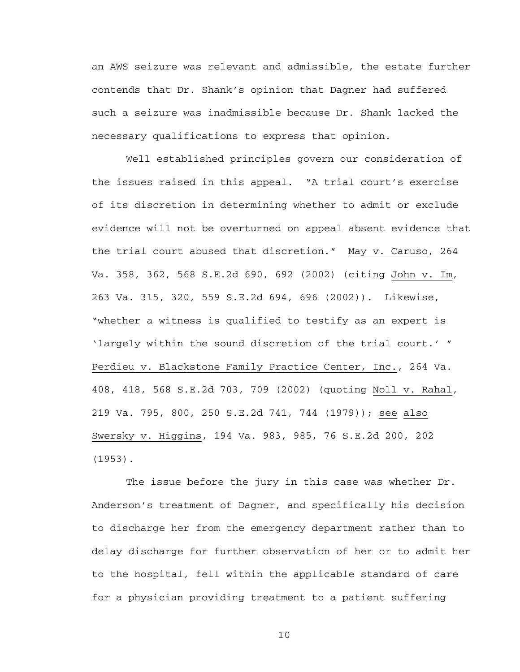an AWS seizure was relevant and admissible, the estate further contends that Dr. Shank's opinion that Dagner had suffered such a seizure was inadmissible because Dr. Shank lacked the necessary qualifications to express that opinion.

Well established principles govern our consideration of the issues raised in this appeal. "A trial court's exercise of its discretion in determining whether to admit or exclude evidence will not be overturned on appeal absent evidence that the trial court abused that discretion." May v. Caruso, 264 Va. 358, 362, 568 S.E.2d 690, 692 (2002) (citing John v. Im, 263 Va. 315, 320, 559 S.E.2d 694, 696 (2002)). Likewise, "whether a witness is qualified to testify as an expert is 'largely within the sound discretion of the trial court.' " Perdieu v. Blackstone Family Practice Center, Inc., 264 Va. 408, 418, 568 S.E.2d 703, 709 (2002) (quoting Noll v. Rahal, 219 Va. 795, 800, 250 S.E.2d 741, 744 (1979)); see also Swersky v. Higgins, 194 Va. 983, 985, 76 S.E.2d 200, 202 (1953).

The issue before the jury in this case was whether Dr. Anderson's treatment of Dagner, and specifically his decision to discharge her from the emergency department rather than to delay discharge for further observation of her or to admit her to the hospital, fell within the applicable standard of care for a physician providing treatment to a patient suffering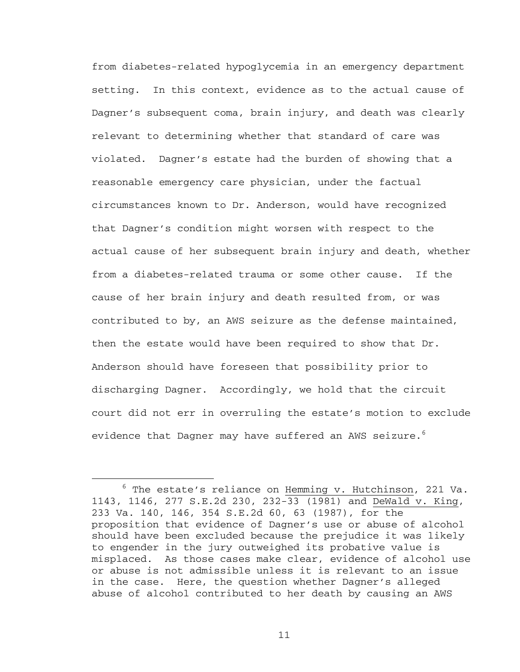from diabetes-related hypoglycemia in an emergency department setting. In this context, evidence as to the actual cause of Dagner's subsequent coma, brain injury, and death was clearly relevant to determining whether that standard of care was violated. Dagner's estate had the burden of showing that a reasonable emergency care physician, under the factual circumstances known to Dr. Anderson, would have recognized that Dagner's condition might worsen with respect to the actual cause of her subsequent brain injury and death, whether from a diabetes-related trauma or some other cause. If the cause of her brain injury and death resulted from, or was contributed to by, an AWS seizure as the defense maintained, then the estate would have been required to show that Dr. Anderson should have foreseen that possibility prior to discharging Dagner. Accordingly, we hold that the circuit court did not err in overruling the estate's motion to exclude evidence that Dagner may have suffered an AWS seizure. $^6$ 

 $\overline{6}$  $6$  The estate's reliance on Hemming v. Hutchinson, 221 Va. 1143, 1146, 277 S.E.2d 230, 232-33 (1981) and DeWald v. King, 233 Va. 140, 146, 354 S.E.2d 60, 63 (1987), for the proposition that evidence of Dagner's use or abuse of alcohol should have been excluded because the prejudice it was likely to engender in the jury outweighed its probative value is misplaced. As those cases make clear, evidence of alcohol use or abuse is not admissible unless it is relevant to an issue in the case. Here, the question whether Dagner's alleged abuse of alcohol contributed to her death by causing an AWS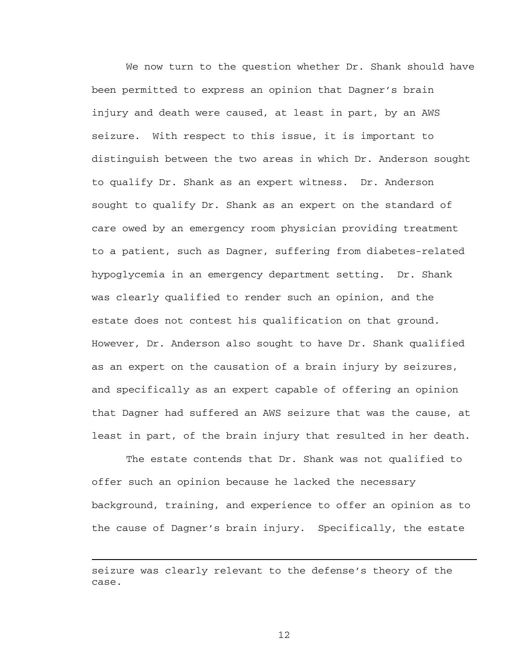We now turn to the question whether Dr. Shank should have been permitted to express an opinion that Dagner's brain injury and death were caused, at least in part, by an AWS seizure. With respect to this issue, it is important to distinguish between the two areas in which Dr. Anderson sought to qualify Dr. Shank as an expert witness. Dr. Anderson sought to qualify Dr. Shank as an expert on the standard of care owed by an emergency room physician providing treatment to a patient, such as Dagner, suffering from diabetes-related hypoglycemia in an emergency department setting. Dr. Shank was clearly qualified to render such an opinion, and the estate does not contest his qualification on that ground. However, Dr. Anderson also sought to have Dr. Shank qualified as an expert on the causation of a brain injury by seizures, and specifically as an expert capable of offering an opinion that Dagner had suffered an AWS seizure that was the cause, at least in part, of the brain injury that resulted in her death.

The estate contends that Dr. Shank was not qualified to offer such an opinion because he lacked the necessary background, training, and experience to offer an opinion as to the cause of Dagner's brain injury. Specifically, the estate

 $\overline{\phantom{0}}$ 

seizure was clearly relevant to the defense's theory of the case.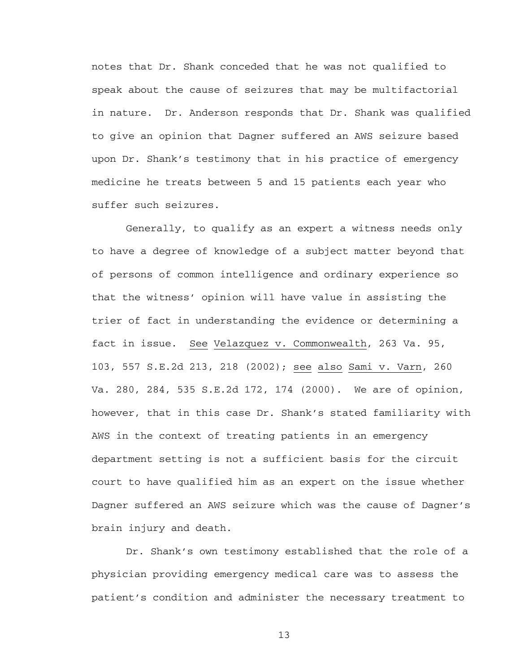notes that Dr. Shank conceded that he was not qualified to speak about the cause of seizures that may be multifactorial in nature. Dr. Anderson responds that Dr. Shank was qualified to give an opinion that Dagner suffered an AWS seizure based upon Dr. Shank's testimony that in his practice of emergency medicine he treats between 5 and 15 patients each year who suffer such seizures.

Generally, to qualify as an expert a witness needs only to have a degree of knowledge of a subject matter beyond that of persons of common intelligence and ordinary experience so that the witness' opinion will have value in assisting the trier of fact in understanding the evidence or determining a fact in issue. See Velazquez v. Commonwealth, 263 Va. 95, 103, 557 S.E.2d 213, 218 (2002); see also Sami v. Varn, 260 Va. 280, 284, 535 S.E.2d 172, 174 (2000). We are of opinion, however, that in this case Dr. Shank's stated familiarity with AWS in the context of treating patients in an emergency department setting is not a sufficient basis for the circuit court to have qualified him as an expert on the issue whether Dagner suffered an AWS seizure which was the cause of Dagner's brain injury and death.

Dr. Shank's own testimony established that the role of a physician providing emergency medical care was to assess the patient's condition and administer the necessary treatment to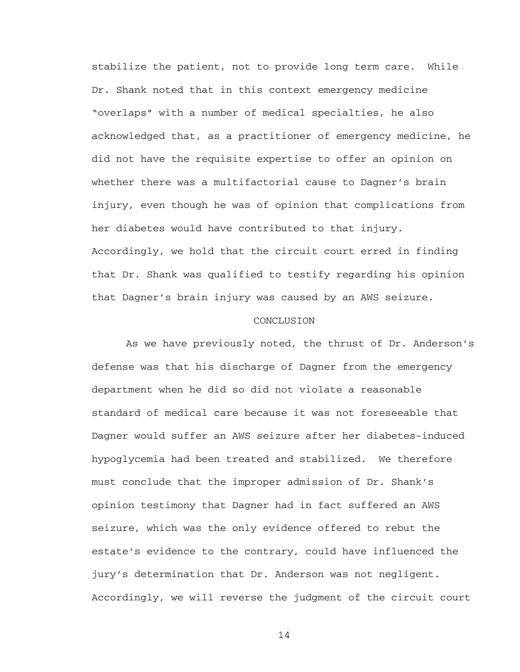stabilize the patient, not to provide long term care. While Dr. Shank noted that in this context emergency medicine "overlaps" with a number of medical specialties, he also acknowledged that, as a practitioner of emergency medicine, he did not have the requisite expertise to offer an opinion on whether there was a multifactorial cause to Dagner's brain injury, even though he was of opinion that complications from her diabetes would have contributed to that injury. Accordingly, we hold that the circuit court erred in finding that Dr. Shank was qualified to testify regarding his opinion that Dagner's brain injury was caused by an AWS seizure.

## CONCLUSION

As we have previously noted, the thrust of Dr. Anderson's defense was that his discharge of Dagner from the emergency department when he did so did not violate a reasonable standard of medical care because it was not foreseeable that Dagner would suffer an AWS seizure after her diabetes-induced hypoglycemia had been treated and stabilized. We therefore must conclude that the improper admission of Dr. Shank's opinion testimony that Dagner had in fact suffered an AWS seizure, which was the only evidence offered to rebut the estate's evidence to the contrary, could have influenced the jury's determination that Dr. Anderson was not negligent. Accordingly, we will reverse the judgment of the circuit court